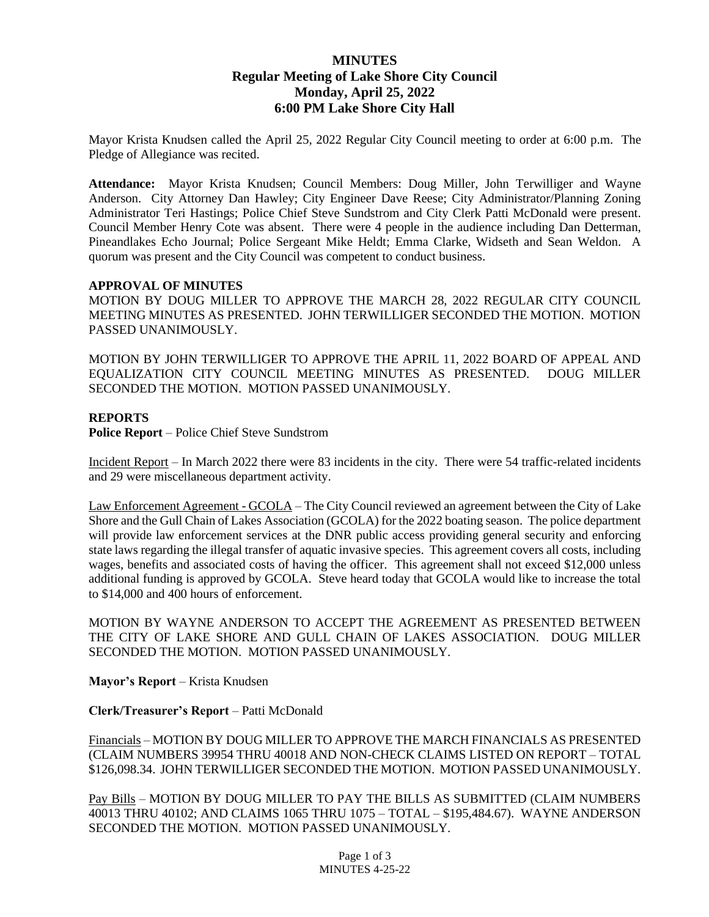# **MINUTES Regular Meeting of Lake Shore City Council Monday, April 25, 2022 6:00 PM Lake Shore City Hall**

Mayor Krista Knudsen called the April 25, 2022 Regular City Council meeting to order at 6:00 p.m. The Pledge of Allegiance was recited.

**Attendance:** Mayor Krista Knudsen; Council Members: Doug Miller, John Terwilliger and Wayne Anderson. City Attorney Dan Hawley; City Engineer Dave Reese; City Administrator/Planning Zoning Administrator Teri Hastings; Police Chief Steve Sundstrom and City Clerk Patti McDonald were present. Council Member Henry Cote was absent. There were 4 people in the audience including Dan Detterman, Pineandlakes Echo Journal; Police Sergeant Mike Heldt; Emma Clarke, Widseth and Sean Weldon. A quorum was present and the City Council was competent to conduct business.

#### **APPROVAL OF MINUTES**

MOTION BY DOUG MILLER TO APPROVE THE MARCH 28, 2022 REGULAR CITY COUNCIL MEETING MINUTES AS PRESENTED. JOHN TERWILLIGER SECONDED THE MOTION. MOTION PASSED UNANIMOUSLY.

MOTION BY JOHN TERWILLIGER TO APPROVE THE APRIL 11, 2022 BOARD OF APPEAL AND EQUALIZATION CITY COUNCIL MEETING MINUTES AS PRESENTED. DOUG MILLER SECONDED THE MOTION. MOTION PASSED UNANIMOUSLY.

#### **REPORTS**

**Police Report** – Police Chief Steve Sundstrom

Incident Report – In March 2022 there were 83 incidents in the city. There were 54 traffic-related incidents and 29 were miscellaneous department activity.

Law Enforcement Agreement - GCOLA – The City Council reviewed an agreement between the City of Lake Shore and the Gull Chain of Lakes Association (GCOLA) for the 2022 boating season. The police department will provide law enforcement services at the DNR public access providing general security and enforcing state laws regarding the illegal transfer of aquatic invasive species. This agreement covers all costs, including wages, benefits and associated costs of having the officer. This agreement shall not exceed \$12,000 unless additional funding is approved by GCOLA. Steve heard today that GCOLA would like to increase the total to \$14,000 and 400 hours of enforcement.

MOTION BY WAYNE ANDERSON TO ACCEPT THE AGREEMENT AS PRESENTED BETWEEN THE CITY OF LAKE SHORE AND GULL CHAIN OF LAKES ASSOCIATION. DOUG MILLER SECONDED THE MOTION. MOTION PASSED UNANIMOUSLY.

**Mayor's Report** – Krista Knudsen

**Clerk/Treasurer's Report** – Patti McDonald

Financials – MOTION BY DOUG MILLER TO APPROVE THE MARCH FINANCIALS AS PRESENTED (CLAIM NUMBERS 39954 THRU 40018 AND NON-CHECK CLAIMS LISTED ON REPORT – TOTAL \$126,098.34. JOHN TERWILLIGER SECONDED THE MOTION. MOTION PASSED UNANIMOUSLY.

Pay Bills – MOTION BY DOUG MILLER TO PAY THE BILLS AS SUBMITTED (CLAIM NUMBERS 40013 THRU 40102; AND CLAIMS 1065 THRU 1075 – TOTAL – \$195,484.67). WAYNE ANDERSON SECONDED THE MOTION. MOTION PASSED UNANIMOUSLY.

> Page 1 of 3 MINUTES 4-25-22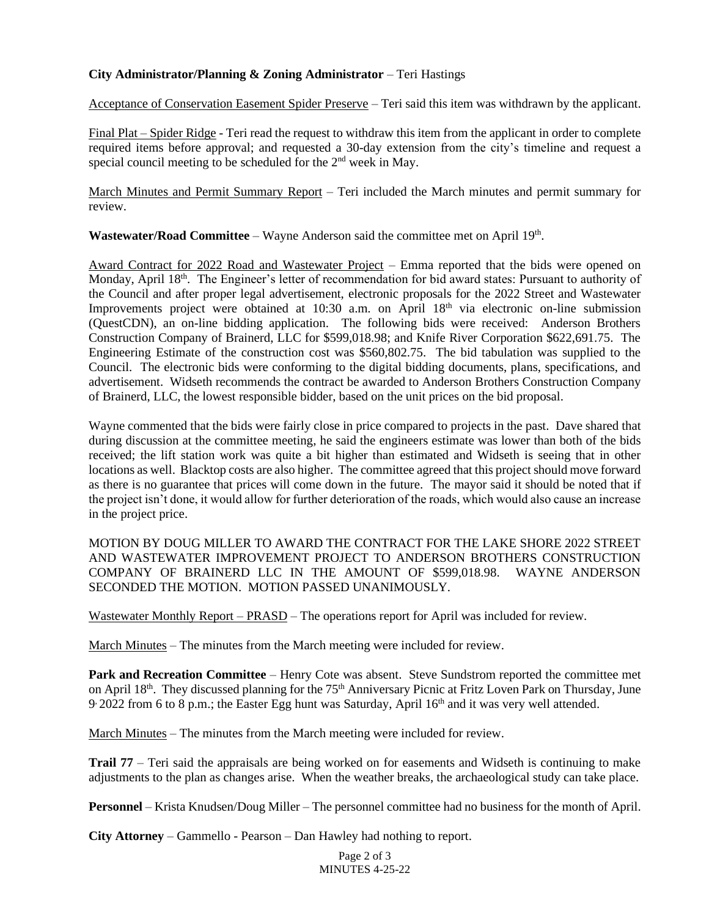## **City Administrator/Planning & Zoning Administrator** – Teri Hastings

Acceptance of Conservation Easement Spider Preserve – Teri said this item was withdrawn by the applicant.

Final Plat – Spider Ridge - Teri read the request to withdraw this item from the applicant in order to complete required items before approval; and requested a 30-day extension from the city's timeline and request a special council meeting to be scheduled for the 2<sup>nd</sup> week in May.

March Minutes and Permit Summary Report – Teri included the March minutes and permit summary for review.

Wastewater/Road Committee – Wayne Anderson said the committee met on April 19<sup>th</sup>.

Award Contract for 2022 Road and Wastewater Project – Emma reported that the bids were opened on Monday, April 18<sup>th</sup>. The Engineer's letter of recommendation for bid award states: Pursuant to authority of the Council and after proper legal advertisement, electronic proposals for the 2022 Street and Wastewater Improvements project were obtained at 10:30 a.m. on April 18<sup>th</sup> via electronic on-line submission (QuestCDN), an on-line bidding application. The following bids were received: Anderson Brothers Construction Company of Brainerd, LLC for \$599,018.98; and Knife River Corporation \$622,691.75. The Engineering Estimate of the construction cost was \$560,802.75. The bid tabulation was supplied to the Council. The electronic bids were conforming to the digital bidding documents, plans, specifications, and advertisement. Widseth recommends the contract be awarded to Anderson Brothers Construction Company of Brainerd, LLC, the lowest responsible bidder, based on the unit prices on the bid proposal.

Wayne commented that the bids were fairly close in price compared to projects in the past. Dave shared that during discussion at the committee meeting, he said the engineers estimate was lower than both of the bids received; the lift station work was quite a bit higher than estimated and Widseth is seeing that in other locations as well. Blacktop costs are also higher. The committee agreed that this project should move forward as there is no guarantee that prices will come down in the future. The mayor said it should be noted that if the project isn't done, it would allow for further deterioration of the roads, which would also cause an increase in the project price.

MOTION BY DOUG MILLER TO AWARD THE CONTRACT FOR THE LAKE SHORE 2022 STREET AND WASTEWATER IMPROVEMENT PROJECT TO ANDERSON BROTHERS CONSTRUCTION COMPANY OF BRAINERD LLC IN THE AMOUNT OF \$599,018.98. WAYNE ANDERSON SECONDED THE MOTION. MOTION PASSED UNANIMOUSLY.

Wastewater Monthly Report – PRASD – The operations report for April was included for review.

March Minutes – The minutes from the March meeting were included for review.

**Park and Recreation Committee** – Henry Cote was absent. Steve Sundstrom reported the committee met on April 18<sup>th</sup>. They discussed planning for the 75<sup>th</sup> Anniversary Picnic at Fritz Loven Park on Thursday, June 9 2022 from 6 to 8 p.m.; the Easter Egg hunt was Saturday, April 16<sup>th</sup> and it was very well attended.

March Minutes – The minutes from the March meeting were included for review.

**Trail 77** – Teri said the appraisals are being worked on for easements and Widseth is continuing to make adjustments to the plan as changes arise. When the weather breaks, the archaeological study can take place.

**Personnel** – Krista Knudsen/Doug Miller – The personnel committee had no business for the month of April.

**City Attorney** – Gammello - Pearson – Dan Hawley had nothing to report.

Page 2 of 3 MINUTES 4-25-22